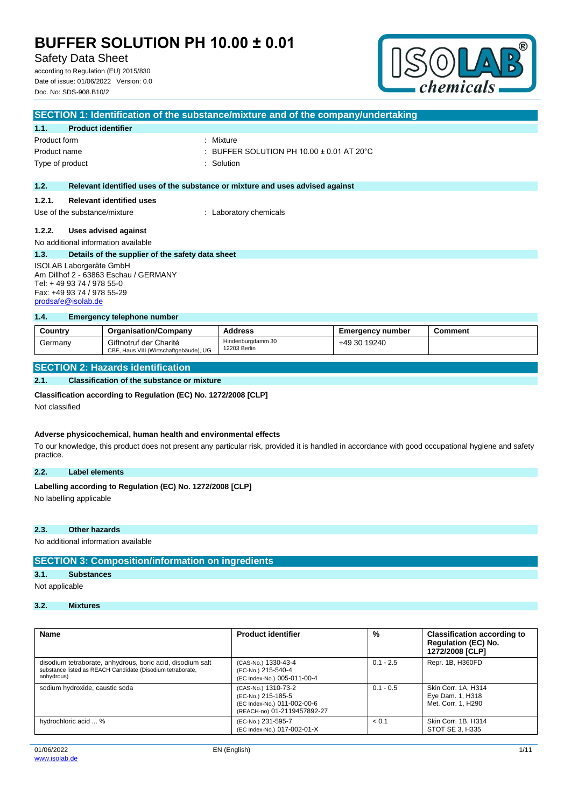Safety Data Sheet

according to Regulation (EU) 2015/830 Date of issue: 01/06/2022 Version: 0.0 Doc. No: SDS-908.B10/2



|                 |                                                                                               | SECTION 1: Identification of the substance/mixture and of the company/undertaking |
|-----------------|-----------------------------------------------------------------------------------------------|-----------------------------------------------------------------------------------|
| 1.1.            | <b>Product identifier</b>                                                                     |                                                                                   |
| Product form    |                                                                                               | : Mixture                                                                         |
| Product name    |                                                                                               | : BUFFER SOLUTION PH 10.00 $\pm$ 0.01 AT 20 $^{\circ}$ C                          |
| Type of product |                                                                                               | : Solution                                                                        |
|                 |                                                                                               |                                                                                   |
| 1.2.            |                                                                                               | Relevant identified uses of the substance or mixture and uses advised against     |
| 1.2.1.          | <b>Relevant identified uses</b>                                                               |                                                                                   |
|                 | Use of the substance/mixture                                                                  | : Laboratory chemicals                                                            |
| 1.2.2.          | Uses advised against                                                                          |                                                                                   |
|                 | No additional information available                                                           |                                                                                   |
| 1.3.            | Details of the supplier of the safety data sheet                                              |                                                                                   |
|                 | ISOLAB Laborgeräte GmbH<br>Am Dillhof 2 - 63863 Eschau / GERMANY<br>Tel: +49 93 74 / 978 55-0 |                                                                                   |

Fax: +49 93 74 / 978 55-29 [prodsafe@isolab.de](mailto:prodsafe@isolab.de)

#### **1.4. Emergency telephone number**

| Country | <b>Organisation/Company</b>                                      | <b>Address</b>                    | Emergency number | Comment |
|---------|------------------------------------------------------------------|-----------------------------------|------------------|---------|
| Germany | Giftnotruf der Charité<br>CBF, Haus VIII (Wirtschaftgebäude), UG | Hindenburgdamm 30<br>12203 Berlin | +49 30 19240     |         |

## **SECTION 2: Hazards identification**

#### **2.1. Classification of the substance or mixture**

#### **Classification according to Regulation (EC) No. 1272/2008 [CLP]**

Not classified

### **Adverse physicochemical, human health and environmental effects**

To our knowledge, this product does not present any particular risk, provided it is handled in accordance with good occupational hygiene and safety practice.

## **2.2. Label elements**

# Labelling according to Regulation (EC) No. 1272/2008 [CLP]

No labelling applicable

### **2.3. Other hazards**

No additional information available

## **SECTION 3: Composition/information on ingredients**

## **3.1. Substances**

Not applicable

## **3.2. Mixtures**

| <b>Name</b>                                                                                                                            | <b>Product identifier</b>                                                                               | %           | <b>Classification according to</b><br><b>Regulation (EC) No.</b><br>1272/2008 [CLP] |
|----------------------------------------------------------------------------------------------------------------------------------------|---------------------------------------------------------------------------------------------------------|-------------|-------------------------------------------------------------------------------------|
| disodium tetraborate, anhydrous, boric acid, disodium salt<br>substance listed as REACH Candidate (Disodium tetraborate,<br>anhydrous) | (CAS-No.) 1330-43-4<br>(EC-No.) 215-540-4<br>(EC Index-No.) 005-011-00-4                                | $0.1 - 2.5$ | Repr. 1B, H360FD                                                                    |
| sodium hydroxide, caustic soda                                                                                                         | (CAS-No.) 1310-73-2<br>(EC-No.) 215-185-5<br>(EC Index-No.) 011-002-00-6<br>(REACH-no) 01-2119457892-27 | $0.1 - 0.5$ | Skin Corr. 1A, H314<br>Eye Dam. 1, H318<br>Met. Corr. 1, H290                       |
| hydrochloric acid  %                                                                                                                   | (EC-No.) 231-595-7<br>(EC Index-No.) 017-002-01-X                                                       | < 0.1       | Skin Corr. 1B, H314<br>STOT SE 3, H335                                              |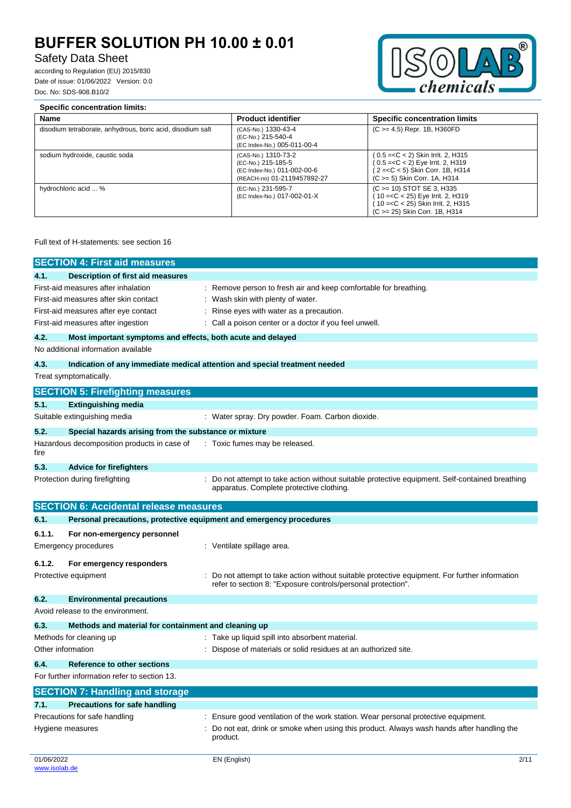# Safety Data Sheet

according to Regulation (EU) 2015/830 Date of issue: 01/06/2022 Version: 0.0 Doc. No: SDS-908.B10/2



| <b>Specific concentration limits:</b>                      |                                                                                                         |                                                                                                                                                     |
|------------------------------------------------------------|---------------------------------------------------------------------------------------------------------|-----------------------------------------------------------------------------------------------------------------------------------------------------|
| Name                                                       | <b>Product identifier</b>                                                                               | <b>Specific concentration limits</b>                                                                                                                |
| disodium tetraborate, anhydrous, boric acid, disodium salt | (CAS-No.) 1330-43-4<br>(EC-No.) 215-540-4<br>(EC Index-No.) 005-011-00-4                                | $(C \ge 4.5)$ Repr. 1B, H360FD                                                                                                                      |
| sodium hydroxide, caustic soda                             | (CAS-No.) 1310-73-2<br>(EC-No.) 215-185-5<br>(EC Index-No.) 011-002-00-6<br>(REACH-no) 01-2119457892-27 | (0.5 = <c 2)="" 2,="" <="" eye="" h319<br="" irrit.="">(2=<c 1b,="" 5)="" <="" corr.="" h314<br="" skin="">(C &gt; = 5) Skin Corr. 1A, H314</c></c> |
| hydrochloric acid  %                                       | (EC-No.) 231-595-7<br>(EC Index-No.) 017-002-01-X                                                       | (C > = 10) STOT SE 3, H335<br>(10 =< C < 25) Eye Irrit. 2, H319<br>(10 = < C < 25) Skin Irrit. 2, H315<br>(C > = 25) Skin Corr. 1B, H314            |

Full text of H-statements: see section 16

|                   | <b>SECTION 4: First aid measures</b>                                |                                                                                                                                                                                          |
|-------------------|---------------------------------------------------------------------|------------------------------------------------------------------------------------------------------------------------------------------------------------------------------------------|
| 4.1.              | <b>Description of first aid measures</b>                            |                                                                                                                                                                                          |
|                   | First-aid measures after inhalation                                 | : Remove person to fresh air and keep comfortable for breathing.                                                                                                                         |
|                   | First-aid measures after skin contact                               | Wash skin with plenty of water.                                                                                                                                                          |
|                   | First-aid measures after eye contact                                | Rinse eyes with water as a precaution.                                                                                                                                                   |
|                   | First-aid measures after ingestion                                  | Call a poison center or a doctor if you feel unwell.<br>÷.                                                                                                                               |
| 4.2.              | Most important symptoms and effects, both acute and delayed         |                                                                                                                                                                                          |
|                   | No additional information available                                 |                                                                                                                                                                                          |
| 4.3.              |                                                                     | Indication of any immediate medical attention and special treatment needed                                                                                                               |
|                   | Treat symptomatically.                                              |                                                                                                                                                                                          |
|                   | <b>SECTION 5: Firefighting measures</b>                             |                                                                                                                                                                                          |
| 5.1.              | <b>Extinguishing media</b>                                          |                                                                                                                                                                                          |
|                   | Suitable extinguishing media                                        | : Water spray. Dry powder. Foam. Carbon dioxide.                                                                                                                                         |
| 5.2.              | Special hazards arising from the substance or mixture               |                                                                                                                                                                                          |
| fire              | Hazardous decomposition products in case of                         | : Toxic fumes may be released.                                                                                                                                                           |
| 5.3.              | <b>Advice for firefighters</b>                                      |                                                                                                                                                                                          |
|                   | Protection during firefighting                                      | : Do not attempt to take action without suitable protective equipment. Self-contained breathing<br>apparatus. Complete protective clothing.                                              |
|                   | <b>SECTION 6: Accidental release measures</b>                       |                                                                                                                                                                                          |
| 6.1.              | Personal precautions, protective equipment and emergency procedures |                                                                                                                                                                                          |
| 6.1.1.            | For non-emergency personnel                                         |                                                                                                                                                                                          |
|                   | <b>Emergency procedures</b>                                         | : Ventilate spillage area.                                                                                                                                                               |
| 6.1.2.            | For emergency responders                                            |                                                                                                                                                                                          |
|                   | Protective equipment                                                | Do not attempt to take action without suitable protective equipment. For further information<br>refer to section 8: "Exposure controls/personal protection".                             |
| 6.2.              | <b>Environmental precautions</b>                                    |                                                                                                                                                                                          |
|                   | Avoid release to the environment.                                   |                                                                                                                                                                                          |
| 6.3.              | Methods and material for containment and cleaning up                |                                                                                                                                                                                          |
|                   | Methods for cleaning up                                             | : Take up liquid spill into absorbent material.                                                                                                                                          |
| Other information |                                                                     | : Dispose of materials or solid residues at an authorized site.                                                                                                                          |
| 6.4.              | <b>Reference to other sections</b>                                  |                                                                                                                                                                                          |
|                   | For further information refer to section 13.                        |                                                                                                                                                                                          |
|                   | <b>SECTION 7: Handling and storage</b>                              |                                                                                                                                                                                          |
| 7.1.              | <b>Precautions for safe handling</b>                                |                                                                                                                                                                                          |
| Hygiene measures  | Precautions for safe handling                                       | Ensure good ventilation of the work station. Wear personal protective equipment.<br>Do not eat, drink or smoke when using this product. Always wash hands after handling the<br>product. |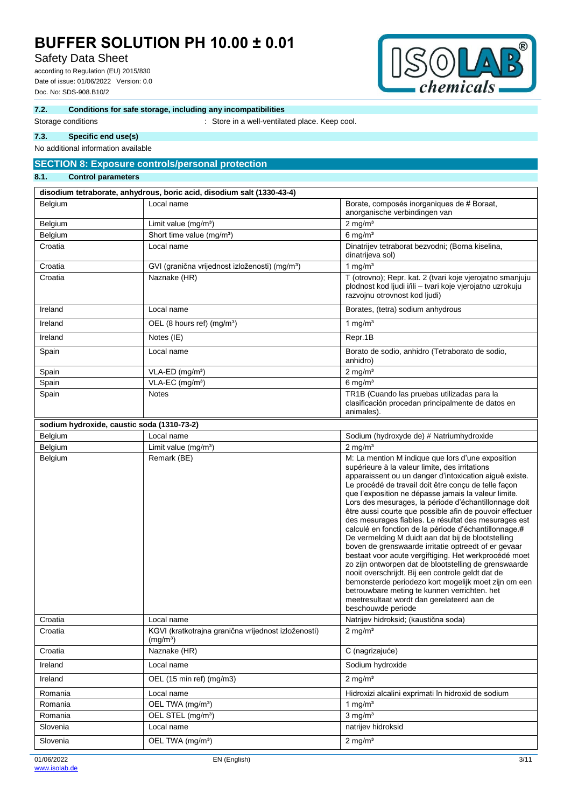## Safety Data Sheet

according to Regulation (EU) 2015/830 Date of issue: 01/06/2022 Version: 0.0 Doc. No: SDS-908.B10/2



## **7.2. Conditions for safe storage, including any incompatibilities**

Storage conditions **Storage conditions** : Store in a well-ventilated place. Keep cool.

## **7.3. Specific end use(s)**

#### No additional information available

## **SECTION 8: Exposure controls/personal protection**

## **8.1. Control parameters**

|                                            | disodium tetraborate, anhydrous, boric acid, disodium salt (1330-43-4)      |                                                                                                                                                                                                                                                                                                                                                                                                                                                                                                                                                                                                                                                                                                                                                                                                                                                                                                                                                                                      |
|--------------------------------------------|-----------------------------------------------------------------------------|--------------------------------------------------------------------------------------------------------------------------------------------------------------------------------------------------------------------------------------------------------------------------------------------------------------------------------------------------------------------------------------------------------------------------------------------------------------------------------------------------------------------------------------------------------------------------------------------------------------------------------------------------------------------------------------------------------------------------------------------------------------------------------------------------------------------------------------------------------------------------------------------------------------------------------------------------------------------------------------|
| Belgium                                    | Local name                                                                  | Borate, composés inorganiques de # Boraat,<br>anorganische verbindingen van                                                                                                                                                                                                                                                                                                                                                                                                                                                                                                                                                                                                                                                                                                                                                                                                                                                                                                          |
| Belgium                                    | Limit value $(mg/m3)$                                                       | $2 \text{ mg/m}^3$                                                                                                                                                                                                                                                                                                                                                                                                                                                                                                                                                                                                                                                                                                                                                                                                                                                                                                                                                                   |
| Belgium                                    | Short time value (mg/m <sup>3</sup> )                                       | $6 \text{ mg/m}^3$                                                                                                                                                                                                                                                                                                                                                                                                                                                                                                                                                                                                                                                                                                                                                                                                                                                                                                                                                                   |
| Croatia                                    | Local name                                                                  | Dinatrijev tetraborat bezvodni; (Borna kiselina,<br>dinatrijeva sol)                                                                                                                                                                                                                                                                                                                                                                                                                                                                                                                                                                                                                                                                                                                                                                                                                                                                                                                 |
| Croatia                                    | GVI (granična vrijednost izloženosti) (mg/m <sup>3</sup> )                  | 1 mg/ $m3$                                                                                                                                                                                                                                                                                                                                                                                                                                                                                                                                                                                                                                                                                                                                                                                                                                                                                                                                                                           |
| Croatia                                    | Naznake (HR)                                                                | T (otrovno); Repr. kat. 2 (tvari koje vjerojatno smanjuju<br>plodnost kod ljudi i/ili - tvari koje vjerojatno uzrokuju<br>razvojnu otrovnost kod ljudi)                                                                                                                                                                                                                                                                                                                                                                                                                                                                                                                                                                                                                                                                                                                                                                                                                              |
| Ireland                                    | Local name                                                                  | Borates, (tetra) sodium anhydrous                                                                                                                                                                                                                                                                                                                                                                                                                                                                                                                                                                                                                                                                                                                                                                                                                                                                                                                                                    |
| Ireland                                    | OEL (8 hours ref) (mg/m <sup>3</sup> )                                      | 1 mg/ $m3$                                                                                                                                                                                                                                                                                                                                                                                                                                                                                                                                                                                                                                                                                                                                                                                                                                                                                                                                                                           |
| Ireland                                    | Notes (IE)                                                                  | Repr.1B                                                                                                                                                                                                                                                                                                                                                                                                                                                                                                                                                                                                                                                                                                                                                                                                                                                                                                                                                                              |
| Spain                                      | Local name                                                                  | Borato de sodio, anhidro (Tetraborato de sodio,<br>anhidro)                                                                                                                                                                                                                                                                                                                                                                                                                                                                                                                                                                                                                                                                                                                                                                                                                                                                                                                          |
| Spain                                      | VLA-ED (mg/m <sup>3</sup> )                                                 | $2$ mg/m <sup>3</sup>                                                                                                                                                                                                                                                                                                                                                                                                                                                                                                                                                                                                                                                                                                                                                                                                                                                                                                                                                                |
| Spain                                      | $VLA-EC$ (mg/m <sup>3</sup> )                                               | $6 \text{ mg/m}^3$                                                                                                                                                                                                                                                                                                                                                                                                                                                                                                                                                                                                                                                                                                                                                                                                                                                                                                                                                                   |
| Spain                                      | Notes                                                                       | TR1B (Cuando las pruebas utilizadas para la<br>clasificación procedan principalmente de datos en<br>animales).                                                                                                                                                                                                                                                                                                                                                                                                                                                                                                                                                                                                                                                                                                                                                                                                                                                                       |
| sodium hydroxide, caustic soda (1310-73-2) |                                                                             |                                                                                                                                                                                                                                                                                                                                                                                                                                                                                                                                                                                                                                                                                                                                                                                                                                                                                                                                                                                      |
| Belgium                                    | Local name                                                                  | Sodium (hydroxyde de) # Natriumhydroxide                                                                                                                                                                                                                                                                                                                                                                                                                                                                                                                                                                                                                                                                                                                                                                                                                                                                                                                                             |
| Belgium                                    | Limit value $(mg/m3)$                                                       | $2 \text{ mg/m}^3$                                                                                                                                                                                                                                                                                                                                                                                                                                                                                                                                                                                                                                                                                                                                                                                                                                                                                                                                                                   |
| Belgium                                    | Remark (BE)                                                                 | M: La mention M indique que lors d'une exposition<br>supérieure à la valeur limite, des irritations<br>apparaissent ou un danger d'intoxication aiguë existe.<br>Le procédé de travail doit être conçu de telle façon<br>que l'exposition ne dépasse jamais la valeur limite.<br>Lors des mesurages, la période d'échantillonnage doit<br>être aussi courte que possible afin de pouvoir effectuer<br>des mesurages fiables. Le résultat des mesurages est<br>calculé en fonction de la période d'échantillonnage.#<br>De vermelding M duidt aan dat bij de blootstelling<br>boven de grenswaarde irritatie optreedt of er gevaar<br>bestaat voor acute vergiftiging. Het werkprocédé moet<br>zo zijn ontworpen dat de blootstelling de grenswaarde<br>nooit overschrijdt. Bij een controle geldt dat de<br>bemonsterde periodezo kort mogelijk moet zijn om een<br>betrouwbare meting te kunnen verrichten. het<br>meetresultaat wordt dan gerelateerd aan de<br>beschouwde periode |
| Croatia                                    | Local name                                                                  | Natrijev hidroksid; (kaustična soda)                                                                                                                                                                                                                                                                                                                                                                                                                                                                                                                                                                                                                                                                                                                                                                                                                                                                                                                                                 |
| Croatia                                    | KGVI (kratkotrajna granična vrijednost izloženosti)<br>(mg/m <sup>3</sup> ) | $2 \text{ mg/m}^3$                                                                                                                                                                                                                                                                                                                                                                                                                                                                                                                                                                                                                                                                                                                                                                                                                                                                                                                                                                   |
| Croatia                                    | Naznake (HR)                                                                | C (nagrizajuće)                                                                                                                                                                                                                                                                                                                                                                                                                                                                                                                                                                                                                                                                                                                                                                                                                                                                                                                                                                      |
| Ireland                                    | Local name                                                                  | Sodium hydroxide                                                                                                                                                                                                                                                                                                                                                                                                                                                                                                                                                                                                                                                                                                                                                                                                                                                                                                                                                                     |
| Ireland                                    | OEL (15 min ref) (mg/m3)                                                    | $2$ mg/m <sup>3</sup>                                                                                                                                                                                                                                                                                                                                                                                                                                                                                                                                                                                                                                                                                                                                                                                                                                                                                                                                                                |
| Romania                                    | Local name                                                                  | Hidroxizi alcalini exprimati în hidroxid de sodium                                                                                                                                                                                                                                                                                                                                                                                                                                                                                                                                                                                                                                                                                                                                                                                                                                                                                                                                   |
| Romania                                    | OEL TWA (mg/m <sup>3</sup> )                                                | 1 mg/ $m3$                                                                                                                                                                                                                                                                                                                                                                                                                                                                                                                                                                                                                                                                                                                                                                                                                                                                                                                                                                           |
| Romania                                    | OEL STEL (mg/m <sup>3</sup> )                                               | $3$ mg/m <sup>3</sup>                                                                                                                                                                                                                                                                                                                                                                                                                                                                                                                                                                                                                                                                                                                                                                                                                                                                                                                                                                |
| Slovenia                                   | Local name                                                                  | natrijev hidroksid                                                                                                                                                                                                                                                                                                                                                                                                                                                                                                                                                                                                                                                                                                                                                                                                                                                                                                                                                                   |
| Slovenia                                   | OEL TWA (mg/m <sup>3</sup> )                                                | $2$ mg/m <sup>3</sup>                                                                                                                                                                                                                                                                                                                                                                                                                                                                                                                                                                                                                                                                                                                                                                                                                                                                                                                                                                |
| 01/06/2022                                 | EN (English)                                                                | 3/11                                                                                                                                                                                                                                                                                                                                                                                                                                                                                                                                                                                                                                                                                                                                                                                                                                                                                                                                                                                 |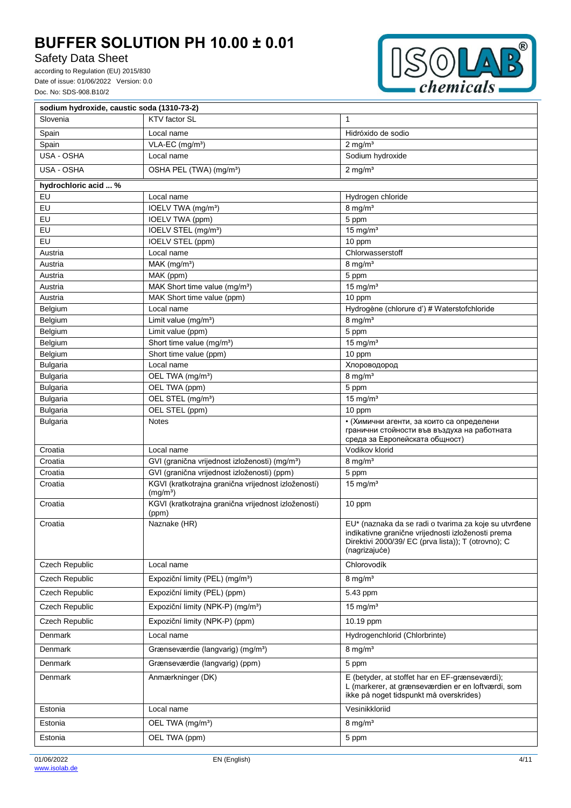# Safety Data Sheet

according to Regulation (EU) 2015/830 Date of issue: 01/06/2022 Version: 0.0 Doc. No: SDS-908.B10/2



| sodium hydroxide, caustic soda (1310-73-2) |                                                                             |                                                                                                                                                                                     |
|--------------------------------------------|-----------------------------------------------------------------------------|-------------------------------------------------------------------------------------------------------------------------------------------------------------------------------------|
| Slovenia                                   | KTV factor SL                                                               | 1                                                                                                                                                                                   |
| Spain                                      | Local name                                                                  | Hidróxido de sodio                                                                                                                                                                  |
| Spain                                      | $VLA-EC$ (mg/m <sup>3</sup> )                                               | $2$ mg/m <sup>3</sup>                                                                                                                                                               |
| USA - OSHA                                 | Local name                                                                  | Sodium hydroxide                                                                                                                                                                    |
| USA - OSHA                                 | OSHA PEL (TWA) (mg/m <sup>3</sup> )                                         | $2$ mg/m <sup>3</sup>                                                                                                                                                               |
| hydrochloric acid  %                       |                                                                             |                                                                                                                                                                                     |
| EU                                         | Local name                                                                  | Hydrogen chloride                                                                                                                                                                   |
| EU                                         | IOELV TWA (mg/m <sup>3</sup> )                                              | $8$ mg/m <sup>3</sup>                                                                                                                                                               |
| EU                                         | IOELV TWA (ppm)                                                             | 5 ppm                                                                                                                                                                               |
| EU                                         | IOELV STEL (mg/m <sup>3</sup> )                                             | 15 mg/ $m3$                                                                                                                                                                         |
| EU                                         | IOELV STEL (ppm)                                                            | 10 ppm                                                                                                                                                                              |
| Austria                                    | Local name                                                                  | Chlorwasserstoff                                                                                                                                                                    |
| Austria                                    | MAK (mg/m <sup>3</sup> )                                                    | $8 \text{ mg/m}^3$                                                                                                                                                                  |
| Austria                                    | MAK (ppm)                                                                   | 5 ppm                                                                                                                                                                               |
| Austria                                    | MAK Short time value (mg/m <sup>3</sup> )                                   | $15$ mg/m <sup>3</sup>                                                                                                                                                              |
| Austria                                    | MAK Short time value (ppm)                                                  | 10 ppm                                                                                                                                                                              |
| Belgium                                    | Local name                                                                  | Hydrogène (chlorure d') # Waterstofchloride                                                                                                                                         |
| Belgium                                    | Limit value $(mg/m3)$                                                       | $8$ mg/m <sup>3</sup>                                                                                                                                                               |
| Belgium                                    | Limit value (ppm)                                                           | 5 ppm                                                                                                                                                                               |
| Belgium                                    | Short time value (mg/m <sup>3</sup> )                                       | 15 mg/ $m3$                                                                                                                                                                         |
| Belgium                                    | Short time value (ppm)                                                      | 10 ppm                                                                                                                                                                              |
| <b>Bulgaria</b>                            | Local name                                                                  | Хлороводород                                                                                                                                                                        |
| <b>Bulgaria</b>                            | OEL TWA (mg/m <sup>3</sup> )                                                | $8$ mg/m <sup>3</sup>                                                                                                                                                               |
| <b>Bulgaria</b>                            | OEL TWA (ppm)                                                               | 5 ppm                                                                                                                                                                               |
| <b>Bulgaria</b>                            | OEL STEL (mg/m <sup>3</sup> )                                               | $15$ mg/m <sup>3</sup>                                                                                                                                                              |
| <b>Bulgaria</b>                            | OEL STEL (ppm)                                                              | 10 ppm                                                                                                                                                                              |
| <b>Bulgaria</b>                            | <b>Notes</b>                                                                | • (Химични агенти, за които са определени<br>гранични стойности във въздуха на работната<br>среда за Европейската общност)                                                          |
| Croatia                                    | Local name                                                                  | Vodikov klorid                                                                                                                                                                      |
| Croatia                                    | GVI (granična vrijednost izloženosti) (mg/m <sup>3</sup> )                  | $8$ mg/m <sup>3</sup>                                                                                                                                                               |
| Croatia                                    | GVI (granična vrijednost izloženosti) (ppm)                                 | 5 ppm                                                                                                                                                                               |
| Croatia                                    | KGVI (kratkotrajna granična vrijednost izloženosti)<br>(mg/m <sup>3</sup> ) | $15 \text{ mg/m}^3$                                                                                                                                                                 |
| Croatia                                    | KGVI (kratkotrajna granična vrijednost izloženosti)<br>(ppm)                | 10 ppm                                                                                                                                                                              |
| Croatia                                    | Naznake (HR)                                                                | EU* (naznaka da se radi o tvarima za koje su utvrđene<br>indikativne granične vrijednosti izloženosti prema<br>Direktivi 2000/39/ EC (prva lista)); T (otrovno); C<br>(nagrizajuće) |
| Czech Republic                             | Local name                                                                  | Chlorovodík                                                                                                                                                                         |
| Czech Republic                             | Expoziční limity (PEL) (mg/m <sup>3</sup> )                                 | $8$ mg/m <sup>3</sup>                                                                                                                                                               |
| Czech Republic                             | Expoziční limity (PEL) (ppm)                                                | 5.43 ppm                                                                                                                                                                            |
| Czech Republic                             | Expoziční limity (NPK-P) (mg/m <sup>3</sup> )                               | 15 mg/ $m3$                                                                                                                                                                         |
| <b>Czech Republic</b>                      | Expoziční limity (NPK-P) (ppm)                                              | 10.19 ppm                                                                                                                                                                           |
| Denmark                                    | Local name                                                                  | Hydrogenchlorid (Chlorbrinte)                                                                                                                                                       |
| Denmark                                    | Grænseværdie (langvarig) (mg/m <sup>3</sup> )                               | $8 \text{ mg/m}^3$                                                                                                                                                                  |
| Denmark                                    | Grænseværdie (langvarig) (ppm)                                              | 5 ppm                                                                                                                                                                               |
| Denmark                                    | Anmærkninger (DK)                                                           | E (betyder, at stoffet har en EF-grænseværdi);<br>L (markerer, at grænseværdien er en loftværdi, som<br>ikke på noget tidspunkt må overskrides)                                     |
| Estonia                                    | Local name                                                                  | Vesinikkloriid                                                                                                                                                                      |
| Estonia                                    | OEL TWA (mg/m <sup>3</sup> )                                                | $8$ mg/m <sup>3</sup>                                                                                                                                                               |
| Estonia                                    | OEL TWA (ppm)                                                               | 5 ppm                                                                                                                                                                               |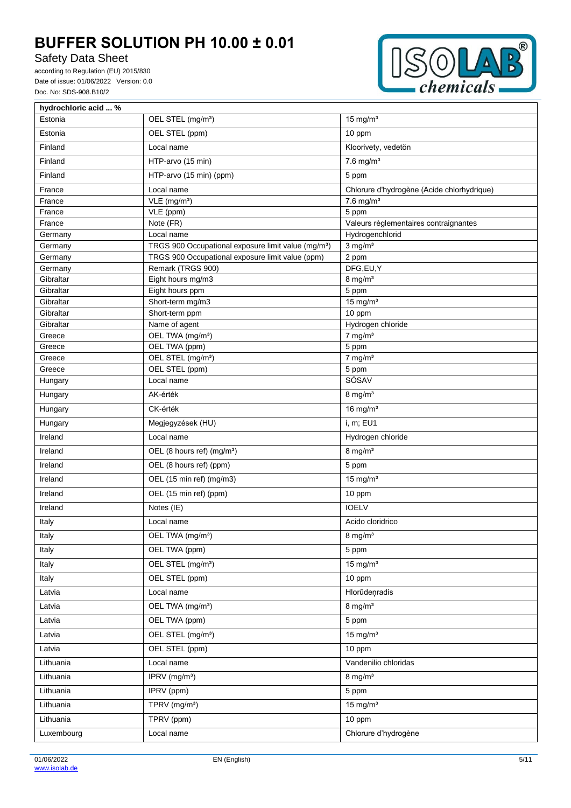Safety Data Sheet

according to Regulation (EU) 2015/830 Date of issue: 01/06/2022 Version: 0.0 Doc. No: SDS-908.B10/2



| hydrochloric acid  % |                                                                 |                                            |
|----------------------|-----------------------------------------------------------------|--------------------------------------------|
| Estonia              | OEL STEL (mg/m <sup>3</sup> )                                   | $15 \text{ mg/m}^3$                        |
| Estonia              | OEL STEL (ppm)                                                  | 10 ppm                                     |
| Finland              | Local name                                                      | Kloorivety, vedetön                        |
| Finland              | HTP-arvo (15 min)                                               | $7.6$ mg/m <sup>3</sup>                    |
| Finland              | HTP-arvo (15 min) (ppm)                                         | 5 ppm                                      |
| France               | Local name                                                      | Chlorure d'hydrogène (Acide chlorhydrique) |
| France               | VLE (mg/m <sup>3</sup> )                                        | $7.6$ mg/m <sup>3</sup>                    |
| France               | VLE (ppm)                                                       | 5 ppm                                      |
| France               | Note (FR)                                                       | Valeurs règlementaires contraignantes      |
| Germany              | Local name                                                      | Hydrogenchlorid                            |
| Germany              | TRGS 900 Occupational exposure limit value (mg/m <sup>3</sup> ) | $3$ mg/m <sup>3</sup>                      |
| Germany              | TRGS 900 Occupational exposure limit value (ppm)                | 2 ppm                                      |
| Germany              | Remark (TRGS 900)                                               | DFG,EU,Y                                   |
| Gibraltar            | Eight hours mg/m3                                               | $8$ mg/m <sup>3</sup>                      |
| Gibraltar            | Eight hours ppm                                                 | 5 ppm                                      |
| Gibraltar            | Short-term mg/m3                                                | $15 \text{ mg/m}^3$                        |
| Gibraltar            | Short-term ppm                                                  | 10 ppm                                     |
| Gibraltar            | Name of agent                                                   | Hydrogen chloride                          |
| Greece               | OEL TWA (mg/m <sup>3</sup> )                                    | $7$ mg/m <sup>3</sup>                      |
| Greece               | OEL TWA (ppm)                                                   | 5 ppm                                      |
| Greece               | OEL STEL (mg/m <sup>3</sup> )                                   | $7$ mg/m <sup>3</sup>                      |
| Greece               | OEL STEL (ppm)                                                  | 5 ppm                                      |
| Hungary              | Local name                                                      | SÓSAV                                      |
| Hungary              | AK-érték                                                        | $8$ mg/m <sup>3</sup>                      |
| Hungary              | CK-érték                                                        | $16$ mg/m <sup>3</sup>                     |
| Hungary              | Megjegyzések (HU)                                               | i, m; EU1                                  |
| Ireland              | Local name                                                      | Hydrogen chloride                          |
| Ireland              | OEL (8 hours ref) (mg/m <sup>3</sup> )                          | $8 \text{ mg/m}^3$                         |
| Ireland              | OEL (8 hours ref) (ppm)                                         | 5 ppm                                      |
| Ireland              | OEL (15 min ref) (mg/m3)                                        | 15 mg/ $m3$                                |
| Ireland              | OEL (15 min ref) (ppm)                                          | 10 ppm                                     |
| Ireland              | Notes (IE)                                                      | <b>IOELV</b>                               |
| Italy                | Local name                                                      | Acido cloridrico                           |
| Italy                | OEL TWA (mg/m <sup>3</sup> )                                    | $8$ mg/m $3$                               |
| Italy                | OEL TWA (ppm)                                                   | 5 ppm                                      |
| Italy                | OEL STEL (mg/m <sup>3</sup> )                                   | $15 \text{ mg/m}^3$                        |
| Italy                | OEL STEL (ppm)                                                  | 10 ppm                                     |
| Latvia               | Local name                                                      | Hlorūdeņradis                              |
| Latvia               | OEL TWA (mg/m <sup>3</sup> )                                    | $8$ mg/m <sup>3</sup>                      |
| Latvia               | OEL TWA (ppm)                                                   | 5 ppm                                      |
| Latvia               | OEL STEL (mg/m <sup>3</sup> )                                   | $15$ mg/m <sup>3</sup>                     |
| Latvia               | OEL STEL (ppm)                                                  | 10 ppm                                     |
| Lithuania            | Local name                                                      | Vandenilio chloridas                       |
| Lithuania            | IPRV (mg/m <sup>3</sup> )                                       | $8$ mg/m <sup>3</sup>                      |
| Lithuania            | IPRV (ppm)                                                      | 5 ppm                                      |
| Lithuania            | TPRV (mg/m <sup>3</sup> )                                       | $15 \text{ mg/m}^3$                        |
| Lithuania            | TPRV (ppm)                                                      | 10 ppm                                     |
| Luxembourg           | Local name                                                      | Chlorure d'hydrogène                       |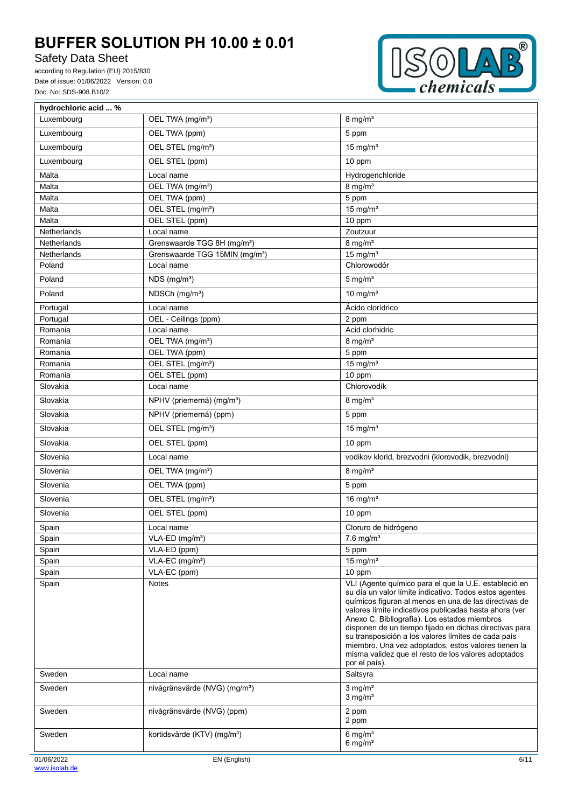# Safety Data Sheet

according to Regulation (EU) 2015/830 Date of issue: 01/06/2022 Version: 0.0 Doc. No: SDS-908.B10/2



| hydrochloric acid  % |                                                |                                                                                                                                                                                                                                                                                                                                                                                                                                                                                                                                    |
|----------------------|------------------------------------------------|------------------------------------------------------------------------------------------------------------------------------------------------------------------------------------------------------------------------------------------------------------------------------------------------------------------------------------------------------------------------------------------------------------------------------------------------------------------------------------------------------------------------------------|
| Luxembourg           | OEL TWA (mg/m <sup>3</sup> )                   | $8 \text{ mg/m}^3$                                                                                                                                                                                                                                                                                                                                                                                                                                                                                                                 |
| Luxembourg           | OEL TWA (ppm)                                  | 5 ppm                                                                                                                                                                                                                                                                                                                                                                                                                                                                                                                              |
| Luxembourg           | OEL STEL (mg/m <sup>3</sup> )                  | 15 mg/ $m3$                                                                                                                                                                                                                                                                                                                                                                                                                                                                                                                        |
| Luxembourg           | OEL STEL (ppm)                                 | 10 ppm                                                                                                                                                                                                                                                                                                                                                                                                                                                                                                                             |
| Malta                | Local name                                     | Hydrogenchloride                                                                                                                                                                                                                                                                                                                                                                                                                                                                                                                   |
| Malta                | OEL TWA (mg/m <sup>3</sup> )                   | $8$ mg/m <sup>3</sup>                                                                                                                                                                                                                                                                                                                                                                                                                                                                                                              |
| Malta                | OEL TWA (ppm)                                  | 5 ppm                                                                                                                                                                                                                                                                                                                                                                                                                                                                                                                              |
| Malta                | OEL STEL (mg/m <sup>3</sup> )                  | $15$ mg/m <sup>3</sup>                                                                                                                                                                                                                                                                                                                                                                                                                                                                                                             |
| Malta                | OEL STEL (ppm)                                 | 10 ppm                                                                                                                                                                                                                                                                                                                                                                                                                                                                                                                             |
| Netherlands          | Local name                                     | Zoutzuur                                                                                                                                                                                                                                                                                                                                                                                                                                                                                                                           |
| Netherlands          | Grenswaarde TGG 8H (mg/m <sup>3</sup> )        | $8$ mg/m <sup>3</sup>                                                                                                                                                                                                                                                                                                                                                                                                                                                                                                              |
| Netherlands          | Grenswaarde TGG 15MIN (mg/m <sup>3</sup> )     | $15$ mg/m <sup>3</sup>                                                                                                                                                                                                                                                                                                                                                                                                                                                                                                             |
| Poland               | Local name                                     | Chlorowodór                                                                                                                                                                                                                                                                                                                                                                                                                                                                                                                        |
| Poland               | $NDS$ (mg/m <sup>3</sup> )                     | $5$ mg/m <sup>3</sup>                                                                                                                                                                                                                                                                                                                                                                                                                                                                                                              |
| Poland               | NDSCh (mg/m <sup>3</sup> )                     | 10 mg/ $m3$                                                                                                                                                                                                                                                                                                                                                                                                                                                                                                                        |
| Portugal             | Local name                                     | Ácido clorídrico                                                                                                                                                                                                                                                                                                                                                                                                                                                                                                                   |
| Portugal             | OEL - Ceilings (ppm)                           | 2 ppm                                                                                                                                                                                                                                                                                                                                                                                                                                                                                                                              |
| Romania              | Local name                                     | Acid clorhidric                                                                                                                                                                                                                                                                                                                                                                                                                                                                                                                    |
| Romania              | OEL TWA (mg/m <sup>3</sup> )                   | $8$ mg/m <sup>3</sup>                                                                                                                                                                                                                                                                                                                                                                                                                                                                                                              |
| Romania              | OEL TWA (ppm)<br>OEL STEL (mg/m <sup>3</sup> ) | 5 ppm                                                                                                                                                                                                                                                                                                                                                                                                                                                                                                                              |
| Romania<br>Romania   | OEL STEL (ppm)                                 | $15 \,\mathrm{mg/m^3}$<br>10 ppm                                                                                                                                                                                                                                                                                                                                                                                                                                                                                                   |
| Slovakia             | Local name                                     | Chlorovodík                                                                                                                                                                                                                                                                                                                                                                                                                                                                                                                        |
| Slovakia             | NPHV (priemerná) (mg/m <sup>3</sup> )          | $8$ mg/m <sup>3</sup>                                                                                                                                                                                                                                                                                                                                                                                                                                                                                                              |
| Slovakia             | NPHV (priemerná) (ppm)                         | 5 ppm                                                                                                                                                                                                                                                                                                                                                                                                                                                                                                                              |
| Slovakia             | OEL STEL (mg/m <sup>3</sup> )                  | $15$ mg/m <sup>3</sup>                                                                                                                                                                                                                                                                                                                                                                                                                                                                                                             |
| Slovakia             | OEL STEL (ppm)                                 | 10 ppm                                                                                                                                                                                                                                                                                                                                                                                                                                                                                                                             |
| Slovenia             | Local name                                     | vodikov klorid, brezvodni (klorovodik, brezvodni)                                                                                                                                                                                                                                                                                                                                                                                                                                                                                  |
| Slovenia             | OEL TWA (mg/m <sup>3</sup> )                   | $8$ mg/m <sup>3</sup>                                                                                                                                                                                                                                                                                                                                                                                                                                                                                                              |
| Slovenia             | OEL TWA (ppm)                                  | 5 ppm                                                                                                                                                                                                                                                                                                                                                                                                                                                                                                                              |
| Slovenia             | OEL STEL (mg/m <sup>3</sup> )                  | 16 mg/ $m3$                                                                                                                                                                                                                                                                                                                                                                                                                                                                                                                        |
| Slovenia             | OEL STEL (ppm)                                 | 10 ppm                                                                                                                                                                                                                                                                                                                                                                                                                                                                                                                             |
|                      |                                                |                                                                                                                                                                                                                                                                                                                                                                                                                                                                                                                                    |
| Spain                | Local name                                     | Cloruro de hidrógeno                                                                                                                                                                                                                                                                                                                                                                                                                                                                                                               |
| Spain<br>Spain       | VLA-ED (mg/m <sup>3</sup> )<br>VLA-ED (ppm)    | $7.6$ mg/m <sup>3</sup><br>5 ppm                                                                                                                                                                                                                                                                                                                                                                                                                                                                                                   |
| Spain                | VLA-EC (mg/m <sup>3</sup> )                    | $15$ mg/m <sup>3</sup>                                                                                                                                                                                                                                                                                                                                                                                                                                                                                                             |
| Spain                | VLA-EC (ppm)                                   | 10 ppm                                                                                                                                                                                                                                                                                                                                                                                                                                                                                                                             |
| Spain                | <b>Notes</b>                                   | VLI (Agente químico para el que la U.E. estableció en<br>su día un valor límite indicativo. Todos estos agentes<br>químicos figuran al menos en una de las directivas de<br>valores límite indicativos publicadas hasta ahora (ver<br>Anexo C. Bibliografía). Los estados miembros<br>disponen de un tiempo fijado en dichas directivas para<br>su transposición a los valores límites de cada país<br>miembro. Una vez adoptados, estos valores tienen la<br>misma validez que el resto de los valores adoptados<br>por el país). |
| Sweden               | Local name                                     | Saltsyra                                                                                                                                                                                                                                                                                                                                                                                                                                                                                                                           |
| Sweden               | nivågränsvärde (NVG) (mg/m <sup>3</sup> )      | $3$ mg/m <sup>3</sup><br>$3$ mg/m <sup>3</sup>                                                                                                                                                                                                                                                                                                                                                                                                                                                                                     |
| Sweden               | nivågränsvärde (NVG) (ppm)                     | 2 ppm<br>2 ppm                                                                                                                                                                                                                                                                                                                                                                                                                                                                                                                     |
| Sweden               | kortidsvärde (KTV) (mg/m <sup>3</sup> )        | $6$ mg/m <sup>3</sup><br>$6$ mg/m <sup>3</sup>                                                                                                                                                                                                                                                                                                                                                                                                                                                                                     |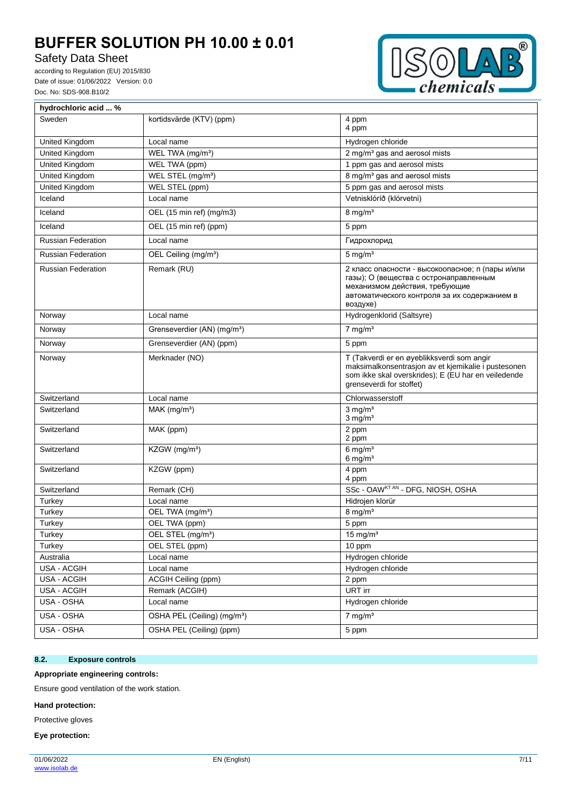Safety Data Sheet

according to Regulation (EU) 2015/830 Date of issue: 01/06/2022 Version: 0.0 Doc. No: SDS-908.B10/2



| hydrochloric acid  %      |                                         |                                                                                                                                                                                          |
|---------------------------|-----------------------------------------|------------------------------------------------------------------------------------------------------------------------------------------------------------------------------------------|
| Sweden                    | kortidsvärde (KTV) (ppm)                | 4 ppm<br>4 ppm                                                                                                                                                                           |
| United Kingdom            | Local name                              | Hydrogen chloride                                                                                                                                                                        |
| United Kingdom            | WEL TWA (mg/m <sup>3</sup> )            | 2 mg/m <sup>3</sup> gas and aerosol mists                                                                                                                                                |
| United Kingdom            | WEL TWA (ppm)                           | 1 ppm gas and aerosol mists                                                                                                                                                              |
| United Kingdom            | WEL STEL (mg/m <sup>3</sup> )           | 8 mg/m <sup>3</sup> gas and aerosol mists                                                                                                                                                |
| United Kingdom            | WEL STEL (ppm)                          | 5 ppm gas and aerosol mists                                                                                                                                                              |
| Iceland                   | Local name                              | Vetnisklóríð (klórvetni)                                                                                                                                                                 |
| Iceland                   | OEL (15 min ref) (mg/m3)                | $8 \text{ mg/m}^3$                                                                                                                                                                       |
| Iceland                   | OEL (15 min ref) (ppm)                  | 5 ppm                                                                                                                                                                                    |
| <b>Russian Federation</b> | Local name                              | Гидрохлорид                                                                                                                                                                              |
| <b>Russian Federation</b> | OEL Ceiling (mg/m <sup>3</sup> )        | 5 mg/m <sup>3</sup>                                                                                                                                                                      |
| <b>Russian Federation</b> | Remark (RU)                             | 2 класс опасности - высокоопасное; п (пары и/или<br>газы); О (вещества с остронаправленным<br>механизмом действия, требующие<br>автоматического контроля за их содержанием в<br>воздухе) |
| Norway                    | Local name                              | Hydrogenklorid (Saltsyre)                                                                                                                                                                |
| Norway                    | Grenseverdier (AN) (mg/m <sup>3</sup> ) | $7$ mg/m <sup>3</sup>                                                                                                                                                                    |
| Norway                    | Grenseverdier (AN) (ppm)                | 5 ppm                                                                                                                                                                                    |
| Norway                    | Merknader (NO)                          | T (Takverdi er en øyeblikksverdi som angir<br>maksimalkonsentrasjon av et kjemikalie i pustesonen<br>som ikke skal overskrides); E (EU har en veiledende<br>grenseverdi for stoffet)     |
| Switzerland               | Local name                              | Chlorwasserstoff                                                                                                                                                                         |
| Switzerland               | $MAK$ (mg/m <sup>3</sup> )              | $3$ mg/m <sup>3</sup><br>$3$ mg/m <sup>3</sup>                                                                                                                                           |
| Switzerland               | MAK (ppm)                               | 2 ppm<br>2 ppm                                                                                                                                                                           |
| Switzerland               | KZGW (mg/m <sup>3</sup> )               | $6$ mg/m <sup>3</sup><br>6 mg/ $m3$                                                                                                                                                      |
| Switzerland               | KZGW (ppm)                              | 4 ppm<br>4 ppm                                                                                                                                                                           |
| Switzerland               | Remark (CH)                             | SSc - OAWKT AN - DFG, NIOSH, OSHA                                                                                                                                                        |
| Turkey                    | Local name                              | Hidrojen klorür                                                                                                                                                                          |
| Turkey                    | OEL TWA (mg/m <sup>3</sup> )            | $8 \text{ mg/m}^3$                                                                                                                                                                       |
| Turkey                    | OEL TWA (ppm)                           | 5 ppm                                                                                                                                                                                    |
| Turkey                    | OEL STEL (mg/m <sup>3</sup> )           | $15 \text{ mg/m}^3$                                                                                                                                                                      |
| Turkey                    | OEL STEL (ppm)                          | 10 ppm                                                                                                                                                                                   |
| Australia                 | Local name                              | Hydrogen chloride                                                                                                                                                                        |
| USA - ACGIH               | Local name                              | Hydrogen chloride                                                                                                                                                                        |
| USA - ACGIH               | ACGIH Ceiling (ppm)                     | 2 ppm                                                                                                                                                                                    |
| USA - ACGIH               | Remark (ACGIH)                          | URT irr                                                                                                                                                                                  |
| USA - OSHA                | Local name                              | Hydrogen chloride                                                                                                                                                                        |
| USA - OSHA                | OSHA PEL (Ceiling) (mg/m <sup>3</sup> ) | $7 \text{ mg/m}^3$                                                                                                                                                                       |
| USA - OSHA                | OSHA PEL (Ceiling) (ppm)                | 5 ppm                                                                                                                                                                                    |

## **8.2. Exposure controls**

## **Appropriate engineering controls:**

Ensure good ventilation of the work station.

#### **Hand protection:**

Protective gloves

**Eye protection:**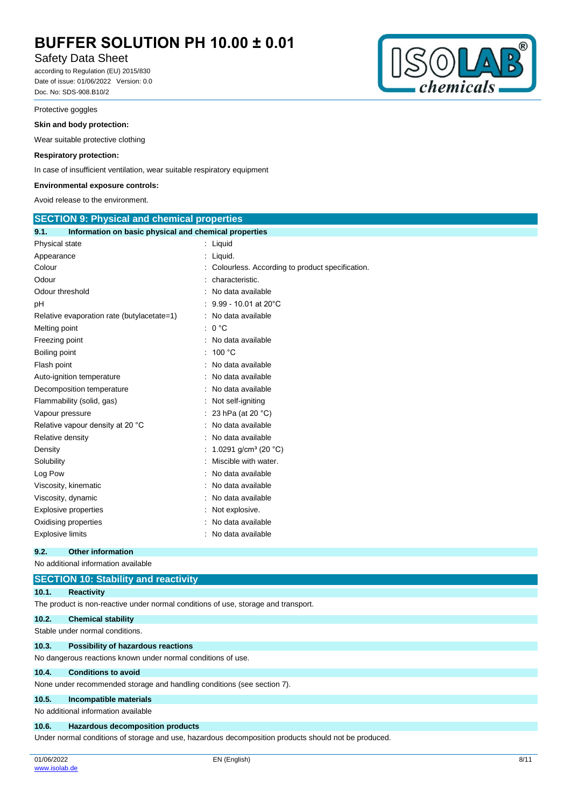# Safety Data Sheet

according to Regulation (EU) 2015/830 Date of issue: 01/06/2022 Version: 0.0 Doc. No: SDS-908.B10/2

#### Protective goggles

## **Skin and body protection:**

Wear suitable protective clothing

## **Respiratory protection:**

In case of insufficient ventilation, wear suitable respiratory equipment

### **Environmental exposure controls:**

Avoid release to the environment.

| <b>SECTION 9: Physical and chemical properties</b>            |                                                   |  |
|---------------------------------------------------------------|---------------------------------------------------|--|
| 9.1.<br>Information on basic physical and chemical properties |                                                   |  |
| Physical state                                                | $:$ Liquid                                        |  |
| Appearance                                                    | : Liquid.                                         |  |
| Colour                                                        | : Colourless. According to product specification. |  |
| Odour                                                         | characteristic.                                   |  |
| Odour threshold                                               | : No data available                               |  |
| pH                                                            | 9.99 - 10.01 at 20°C                              |  |
| Relative evaporation rate (butylacetate=1)                    | : No data available                               |  |
| Melting point                                                 | : 0 °C                                            |  |
| Freezing point                                                | : No data available                               |  |
| Boiling point                                                 | : 100 °C                                          |  |
| Flash point                                                   | No data available                                 |  |
| Auto-ignition temperature                                     | No data available                                 |  |
| Decomposition temperature                                     | : No data available                               |  |
| Flammability (solid, gas)                                     | : Not self-igniting                               |  |
| Vapour pressure                                               | 23 hPa (at 20 °C)                                 |  |
| Relative vapour density at 20 °C                              | : No data available                               |  |
| Relative density                                              | No data available                                 |  |
| Density                                                       | 1.0291 g/cm <sup>3</sup> (20 °C)                  |  |
| Solubility                                                    | Miscible with water.                              |  |
| Log Pow                                                       | No data available                                 |  |
| Viscosity, kinematic                                          | No data available                                 |  |
| Viscosity, dynamic                                            | No data available                                 |  |
| <b>Explosive properties</b>                                   | Not explosive.                                    |  |
| Oxidising properties                                          | No data available                                 |  |
| <b>Explosive limits</b>                                       | : No data available                               |  |

### **9.2. Other information**

No additional information available

Under normal conditions of storage and use, hazardous decomposition products should not be produced.

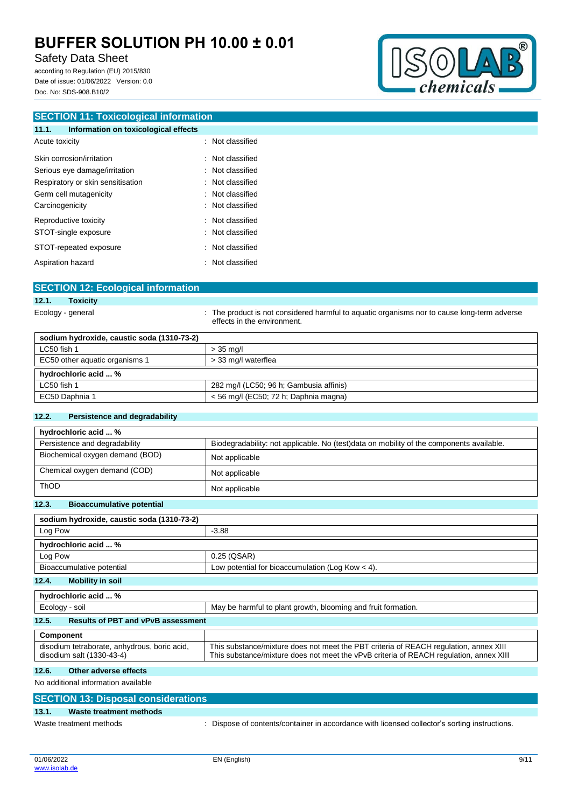# Safety Data Sheet

according to Regulation (EU) 2015/830 Date of issue: 01/06/2022 Version: 0.0 Doc. No: SDS-908.B10/2



| <b>SECTION 11: Toxicological information</b> |                  |
|----------------------------------------------|------------------|
| 11.1. Information on toxicological effects   |                  |
| Acute toxicity                               | : Not classified |
| Skin corrosion/irritation                    | : Not classified |
| Serious eye damage/irritation                | : Not classified |
| Respiratory or skin sensitisation            | : Not classified |
| Germ cell mutagenicity                       | : Not classified |
| Carcinogenicity                              | : Not classified |
| Reproductive toxicity                        | : Not classified |
| STOT-single exposure                         | : Not classified |
| STOT-repeated exposure                       | : Not classified |
| Aspiration hazard                            | : Not classified |

## **SECTION 12: Ecological information**

**12.1. Toxicity**

Ecology - general **interproduct is not considered harmful to aquatic organisms nor to cause long-term adverse** effects in the environment.

| sodium hydroxide, caustic soda (1310-73-2) |                                         |  |
|--------------------------------------------|-----------------------------------------|--|
| LC50 fish 1                                | $> 35$ ma/l                             |  |
| EC50 other aquatic organisms 1             | > 33 mg/l waterflea                     |  |
| hydrochloric acid  %                       |                                         |  |
| LC50 fish 1                                | 282 mg/l (LC50; 96 h; Gambusia affinis) |  |
| EC50 Daphnia 1                             | $<$ 56 mg/l (EC50; 72 h; Daphnia magna) |  |

## **12.2. Persistence and degradability**

| hydrochloric acid  %                       |                                                                                           |  |  |
|--------------------------------------------|-------------------------------------------------------------------------------------------|--|--|
| Persistence and degradability              | Biodegradability: not applicable. No (test) data on mobility of the components available. |  |  |
| Biochemical oxygen demand (BOD)            | Not applicable                                                                            |  |  |
| Chemical oxygen demand (COD)               | Not applicable                                                                            |  |  |
| <b>ThOD</b>                                | Not applicable                                                                            |  |  |
| 12.3.<br><b>Bioaccumulative potential</b>  |                                                                                           |  |  |
| sodium hydroxide, caustic soda (1310-73-2) |                                                                                           |  |  |
| Log Pow                                    | $-3.88$                                                                                   |  |  |
| hydrochloric acid  %                       |                                                                                           |  |  |
| Log Pow                                    | 0.25 (QSAR)                                                                               |  |  |
| Bioaccumulative potential                  | Low potential for bioaccumulation (Log Kow $<$ 4).                                        |  |  |
| <b>Mobility in soil</b><br>12.4.           |                                                                                           |  |  |

**12.4. Mobility in soil**

| hydrochloric acid  %                                                      |                                                                                                                                                                                 |  |
|---------------------------------------------------------------------------|---------------------------------------------------------------------------------------------------------------------------------------------------------------------------------|--|
| Ecology - soil                                                            | May be harmful to plant growth, blooming and fruit formation.                                                                                                                   |  |
| 12.5.<br><b>Results of PBT and vPvB assessment</b>                        |                                                                                                                                                                                 |  |
| Component                                                                 |                                                                                                                                                                                 |  |
| disodium tetraborate, anhydrous, boric acid,<br>disodium salt (1330-43-4) | This substance/mixture does not meet the PBT criteria of REACH regulation, annex XIII<br>This substance/mixture does not meet the vPvB criteria of REACH regulation, annex XIII |  |

### **12.6. Other adverse effects**

No additional information available

| <b>SECTION 13: Disposal considerations</b> |                                                                                               |
|--------------------------------------------|-----------------------------------------------------------------------------------------------|
| 13.1.<br>Waste treatment methods           |                                                                                               |
| Waste treatment methods                    | : Dispose of contents/container in accordance with licensed collector's sorting instructions. |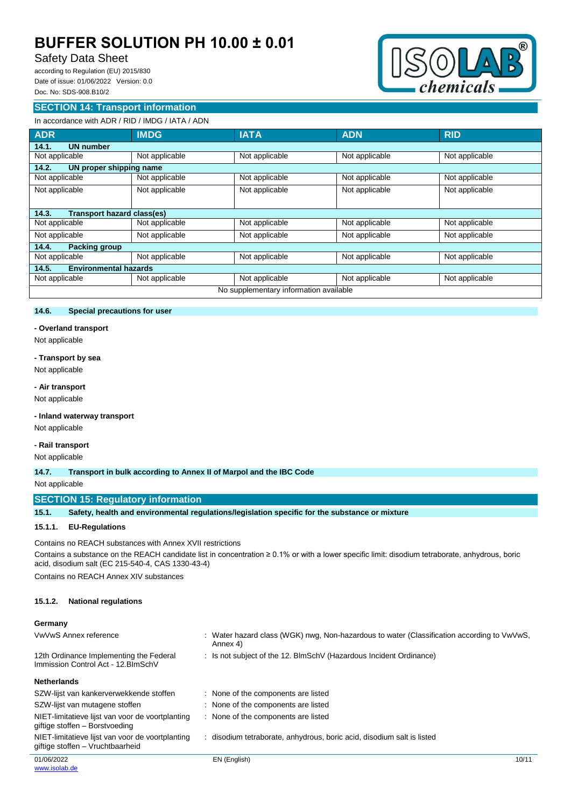# Safety Data Sheet

according to Regulation (EU) 2015/830 Date of issue: 01/06/2022 Version: 0.0 Doc. No: SDS-908.B10/2

### **SECTION 14: Transport information**



# In accordance with ADR / RID / IMDG / IATA / ADN

| <b>ADR</b>                             | <b>IMDG</b>    | <b>IATA</b>    | <b>ADN</b>     | <b>RID</b>     |
|----------------------------------------|----------------|----------------|----------------|----------------|
| <b>UN number</b><br>14.1.              |                |                |                |                |
| Not applicable                         | Not applicable | Not applicable | Not applicable | Not applicable |
| 14.2.<br>UN proper shipping name       |                |                |                |                |
| Not applicable                         | Not applicable | Not applicable | Not applicable | Not applicable |
| Not applicable                         | Not applicable | Not applicable | Not applicable | Not applicable |
|                                        |                |                |                |                |
| Transport hazard class(es)<br>14.3.    |                |                |                |                |
| Not applicable                         | Not applicable | Not applicable | Not applicable | Not applicable |
| Not applicable                         | Not applicable | Not applicable | Not applicable | Not applicable |
| 14.4.<br><b>Packing group</b>          |                |                |                |                |
| Not applicable                         | Not applicable | Not applicable | Not applicable | Not applicable |
| <b>Environmental hazards</b><br>14.5.  |                |                |                |                |
| Not applicable                         | Not applicable | Not applicable | Not applicable | Not applicable |
| No supplementary information available |                |                |                |                |

## **14.6. Special precautions for user**

**- Overland transport**

Not applicable

#### **- Transport by sea**

Not applicable

### **- Air transport**

Not applicable

#### **- Inland waterway transport**

Not applicable

### **- Rail transport**

Not applicable

**14.7. Transport in bulk according to Annex II of Marpol and the IBC Code**

### Not applicable

## **SECTION 15: Regulatory information**

**15.1. Safety, health and environmental regulations/legislation specific for the substance or mixture**

#### **15.1.1. EU-Regulations**

Contains no REACH substances with Annex XVII restrictions

Contains a substance on the REACH candidate list in concentration ≥ 0.1% or with a lower specific limit: disodium tetraborate, anhydrous, boric acid, disodium salt (EC 215-540-4, CAS 1330-43-4)

Contains no REACH Annex XIV substances

#### **15.1.2. National regulations**

### **Germany**

| VwVwS Annex reference                                                                | : Water hazard class (WGK) nwg, Non-hazardous to water (Classification according to VwVwS,<br>Annex 4) |       |
|--------------------------------------------------------------------------------------|--------------------------------------------------------------------------------------------------------|-------|
| 12th Ordinance Implementing the Federal<br>Immission Control Act - 12. BlmSchV       | : Is not subject of the 12. BlmSchV (Hazardous Incident Ordinance)                                     |       |
| <b>Netherlands</b>                                                                   |                                                                                                        |       |
| SZW-lijst van kankerverwekkende stoffen                                              | : None of the components are listed                                                                    |       |
| SZW-lijst van mutagene stoffen                                                       | : None of the components are listed                                                                    |       |
| NIET-limitatieve lijst van voor de voortplanting<br>giftige stoffen - Borstvoeding   | : None of the components are listed                                                                    |       |
| NIET-limitatieve lijst van voor de voortplanting<br>giftige stoffen - Vruchtbaarheid | disodium tetraborate, anhydrous, boric acid, disodium salt is listed                                   |       |
| 01/06/2022                                                                           | EN (English)                                                                                           | 10/11 |